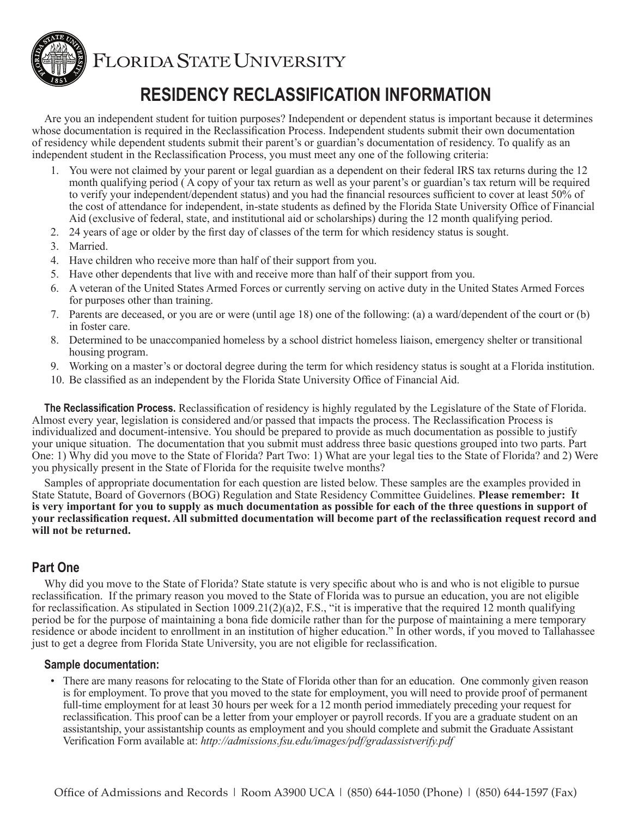

FLORIDA STATE UNIVERSITY

# **RESIDENCY RECLASSIFICATION INFORMATION**

Are you an independent student for tuition purposes? Independent or dependent status is important because it determines whose documentation is required in the Reclassification Process. Independent students submit their own documentation of residency while dependent students submit their parent's or guardian's documentation of residency. To qualify as an independent student in the Reclassification Process, you must meet any one of the following criteria:

- 1. You were not claimed by your parent or legal guardian as a dependent on their federal IRS tax returns during the 12 month qualifying period ( A copy of your tax return as well as your parent's or guardian's tax return will be required to verify your independent/dependent status) and you had the financial resources sufficient to cover at least 50% of the cost of attendance for independent, in-state students as defined by the Florida State University Office of Financial Aid (exclusive of federal, state, and institutional aid or scholarships) during the 12 month qualifying period.
- 2. 24 years of age or older by the first day of classes of the term for which residency status is sought.
- 3. Married.
- 4. Have children who receive more than half of their support from you.
- 5. Have other dependents that live with and receive more than half of their support from you.
- 6. A veteran of the United States Armed Forces or currently serving on active duty in the United States Armed Forces for purposes other than training.
- 7. Parents are deceased, or you are or were (until age 18) one of the following: (a) a ward/dependent of the court or (b) in foster care.
- 8. Determined to be unaccompanied homeless by a school district homeless liaison, emergency shelter or transitional housing program.
- 9. Working on a master's or doctoral degree during the term for which residency status is sought at a Florida institution.
- 10. Be classified as an independent by the Florida State University Office of Financial Aid.

**The Reclassification Process.** Reclassification of residency is highly regulated by the Legislature of the State of Florida. Almost every year, legislation is considered and/or passed that impacts the process. The Reclassification Process is individualized and document-intensive. You should be prepared to provide as much documentation as possible to justify your unique situation. The documentation that you submit must address three basic questions grouped into two parts. Part One: 1) Why did you move to the State of Florida? Part Two: 1) What are your legal ties to the State of Florida? and 2) Were you physically present in the State of Florida for the requisite twelve months?

Samples of appropriate documentation for each question are listed below. These samples are the examples provided in State Statute, Board of Governors (BOG) Regulation and State Residency Committee Guidelines. **Please remember: It is very important for you to supply as much documentation as possible for each of the three questions in support of your reclassification request. All submitted documentation will become part of the reclassification request record and will not be returned.**

# **Part One**

Why did you move to the State of Florida? State statute is very specific about who is and who is not eligible to pursue reclassification. If the primary reason you moved to the State of Florida was to pursue an education, you are not eligible for reclassification. As stipulated in Section 1009.21(2)(a)2, F.S., "it is imperative that the required 12 month qualifying period be for the purpose of maintaining a bona fide domicile rather than for the purpose of maintaining a mere temporary residence or abode incident to enrollment in an institution of higher education." In other words, if you moved to Tallahassee just to get a degree from Florida State University, you are not eligible for reclassification.

#### **Sample documentation:**

• There are many reasons for relocating to the State of Florida other than for an education. One commonly given reason is for employment. To prove that you moved to the state for employment, you will need to provide proof of permanent full-time employment for at least 30 hours per week for a 12 month period immediately preceding your request for reclassification. This proof can be a letter from your employer or payroll records. If you are a graduate student on an assistantship, your assistantship counts as employment and you should complete and submit the Graduate Assistant Verification Form available at: *<http://admissions.fsu.edu/images/pdf/gradassistverify.pdf>*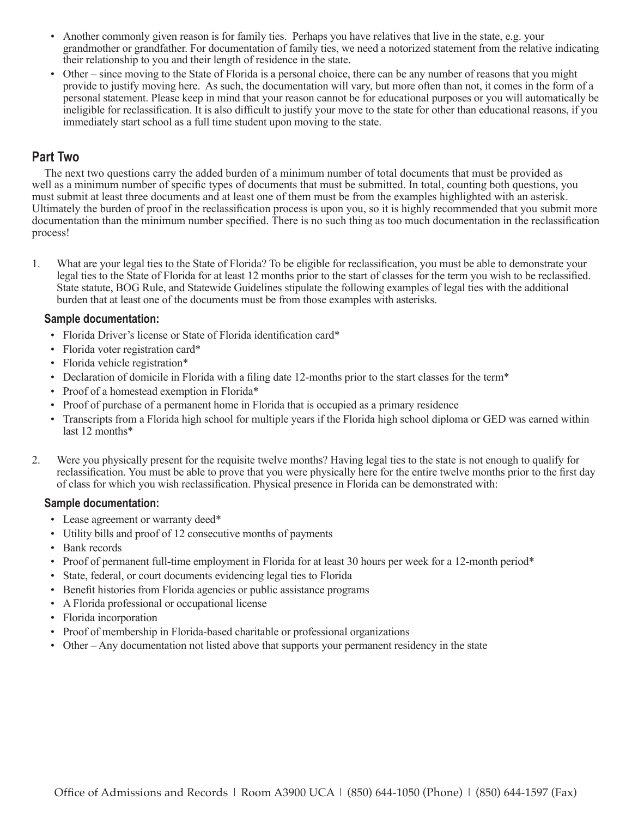- Another commonly given reason is for family ties. Perhaps you have relatives that live in the state, e.g. your grandmother or grandfather. For documentation of family ties, we need a notorized statement from the relative indicating their relationship to you and their length of residence in the state.
- Other since moving to the State of Florida is a personal choice, there can be any number of reasons that you might provide to justify moving here. As such, the documentation will vary, but more often than not, it comes in the form of a personal statement. Please keep in mind that your reason cannot be for educational purposes or you will automatically be ineligible for reclassification. It is also difficult to justify your move to the state for other than educational reasons, if you immediately start school as a full time student upon moving to the state.

## **Part Two**

The next two questions carry the added burden of a minimum number of total documents that must be provided as well as a minimum number of specific types of documents that must be submitted. In total, counting both questions, you must submit at least three documents and at least one of them must be from the examples highlighted with an asterisk. Ultimately the burden of proof in the reclassification process is upon you, so it is highly recommended that you submit more documentation than the minimum number specified. There is no such thing as too much documentation in the reclassification process!

1. What are your legal ties to the State of Florida? To be eligible for reclassification, you must be able to demonstrate your legal ties to the State of Florida for at least 12 months prior to the start of classes for the term you wish to be reclassified. State statute, BOG Rule, and Statewide Guidelines stipulate the following examples of legal ties with the additional burden that at least one of the documents must be from those examples with asterisks.

#### **Sample documentation:**

- Florida Driver's license or State of Florida identification card\*
- Florida voter registration card\*
- Florida vehicle registration\*
- Declaration of domicile in Florida with a filing date 12-months prior to the start classes for the term<sup>\*</sup>
- Proof of a homestead exemption in Florida\*
- Proof of purchase of a permanent home in Florida that is occupied as a primary residence
- Transcripts from a Florida high school for multiple years if the Florida high school diploma or GED was earned within last 12 months\*
- 2. Were you physically present for the requisite twelve months? Having legal ties to the state is not enough to qualify for reclassification. You must be able to prove that you were physically here for the entire twelve months prior to the first day of class for which you wish reclassification. Physical presence in Florida can be demonstrated with:

#### **Sample documentation:**

- Lease agreement or warranty deed\*
- Utility bills and proof of 12 consecutive months of payments
- Bank records
- Proof of permanent full-time employment in Florida for at least 30 hours per week for a 12-month period\*
- State, federal, or court documents evidencing legal ties to Florida
- Benefit histories from Florida agencies or public assistance programs
- A Florida professional or occupational license
- Florida incorporation
- Proof of membership in Florida-based charitable or professional organizations
- Other Any documentation not listed above that supports your permanent residency in the state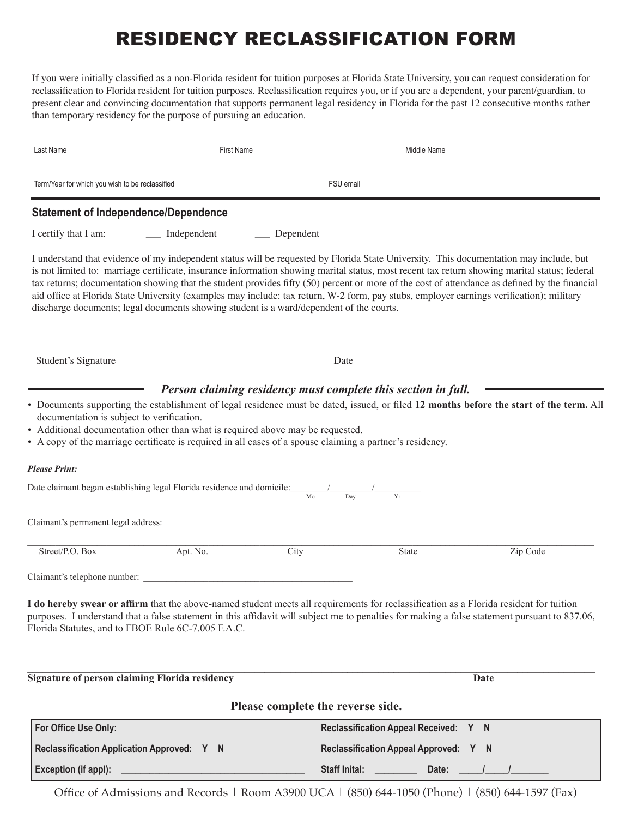# RESIDENCY RECLASSIFICATION FORM

If you were initially classified as a non-Florida resident for tuition purposes at Florida State University, you can request consideration for reclassification to Florida resident for tuition purposes. Reclassification requires you, or if you are a dependent, your parent/guardian, to present clear and convincing documentation that supports permanent legal residency in Florida for the past 12 consecutive months rather than temporary residency for the purpose of pursuing an education.

| Last Name                                                                                                                                                                                                                         | <b>First Name</b> |                                   | Middle Name                           |                                                                                                                                                                                                                                                                                                                                                                                                                                                                                                                                                                                      |
|-----------------------------------------------------------------------------------------------------------------------------------------------------------------------------------------------------------------------------------|-------------------|-----------------------------------|---------------------------------------|--------------------------------------------------------------------------------------------------------------------------------------------------------------------------------------------------------------------------------------------------------------------------------------------------------------------------------------------------------------------------------------------------------------------------------------------------------------------------------------------------------------------------------------------------------------------------------------|
| Term/Year for which you wish to be reclassified                                                                                                                                                                                   |                   |                                   | FSU email                             |                                                                                                                                                                                                                                                                                                                                                                                                                                                                                                                                                                                      |
| <b>Statement of Independence/Dependence</b>                                                                                                                                                                                       |                   |                                   |                                       |                                                                                                                                                                                                                                                                                                                                                                                                                                                                                                                                                                                      |
| I certify that I am:                                                                                                                                                                                                              | __ Independent    | $\equiv$ Dependent                |                                       |                                                                                                                                                                                                                                                                                                                                                                                                                                                                                                                                                                                      |
| discharge documents; legal documents showing student is a ward/dependent of the courts.                                                                                                                                           |                   |                                   |                                       | I understand that evidence of my independent status will be requested by Florida State University. This documentation may include, but<br>is not limited to: marriage certificate, insurance information showing marital status, most recent tax return showing marital status; federal<br>tax returns; documentation showing that the student provides fifty (50) percent or more of the cost of attendance as defined by the financial<br>aid office at Florida State University (examples may include: tax return, W-2 form, pay stubs, employer earnings verification); military |
| Student's Signature                                                                                                                                                                                                               |                   | Date                              |                                       |                                                                                                                                                                                                                                                                                                                                                                                                                                                                                                                                                                                      |
| • A copy of the marriage certificate is required in all cases of a spouse claiming a partner's residency.<br><b>Please Print:</b><br>Date claimant began establishing legal Florida residence and domicile: $\frac{1}{\text{Mo}}$ |                   |                                   |                                       |                                                                                                                                                                                                                                                                                                                                                                                                                                                                                                                                                                                      |
| Claimant's permanent legal address:                                                                                                                                                                                               |                   |                                   |                                       |                                                                                                                                                                                                                                                                                                                                                                                                                                                                                                                                                                                      |
| Street/P.O. Box                                                                                                                                                                                                                   | Apt. No.          | City                              | State                                 | Zip Code                                                                                                                                                                                                                                                                                                                                                                                                                                                                                                                                                                             |
| Claimant's telephone number:                                                                                                                                                                                                      |                   |                                   |                                       |                                                                                                                                                                                                                                                                                                                                                                                                                                                                                                                                                                                      |
| I do hereby swear or affirm that the above-named student meets all requirements for reclassification as a Florida resident for tuition<br>Florida Statutes, and to FBOE Rule 6C-7.005 F.A.C.                                      |                   |                                   |                                       | purposes. I understand that a false statement in this affidavit will subject me to penalties for making a false statement pursuant to 837.06,                                                                                                                                                                                                                                                                                                                                                                                                                                        |
| <b>Signature of person claiming Florida residency</b>                                                                                                                                                                             |                   |                                   | Date                                  |                                                                                                                                                                                                                                                                                                                                                                                                                                                                                                                                                                                      |
|                                                                                                                                                                                                                                   |                   | Please complete the reverse side. |                                       |                                                                                                                                                                                                                                                                                                                                                                                                                                                                                                                                                                                      |
| For Office Use Only:                                                                                                                                                                                                              |                   |                                   | Reclassification Appeal Received: Y N |                                                                                                                                                                                                                                                                                                                                                                                                                                                                                                                                                                                      |

Office of Admissions and Records | Room A3900 UCA | (850) 644-1050 (Phone) | (850) 644-1597 (Fax) **Exception (if appl): \_\_\_\_\_\_\_\_\_\_\_\_\_\_\_\_\_\_\_\_\_\_\_\_\_\_\_\_\_\_\_\_\_\_\_\_\_\_\_ Staff Inital: \_\_\_\_\_\_\_\_\_ Date: \_\_\_\_\_/\_\_\_\_\_/\_\_\_\_\_\_\_\_**

**Reclassification Appeal Approved: Y N**

**Reclassification Application Approved: Y N**